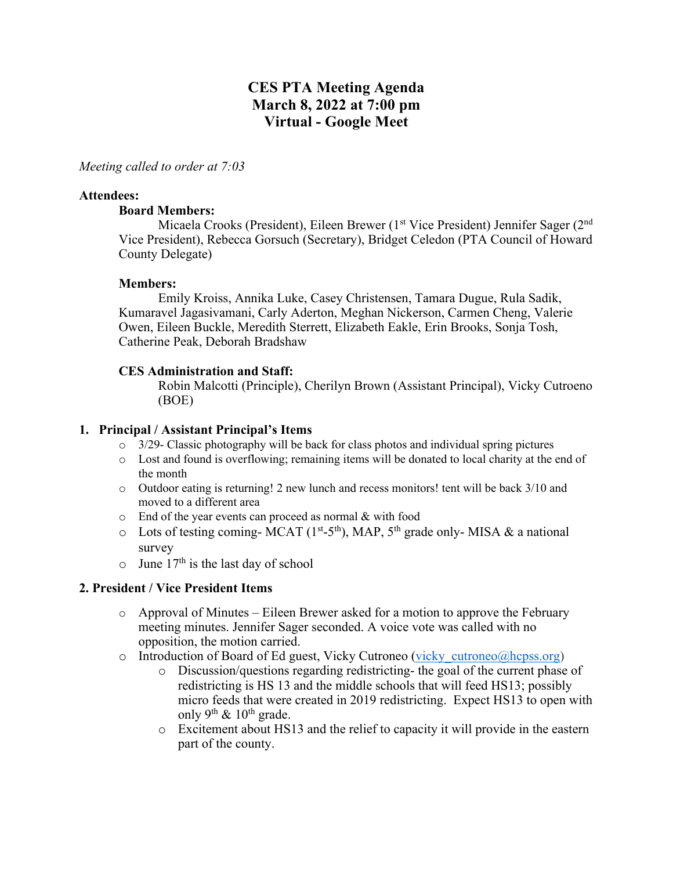# **CES PTA Meeting Agenda March 8, 2022 at 7:00 pm Virtual - Google Meet**

#### *Meeting called to order at 7:03*

#### **Attendees:**

#### **Board Members:**

Micaela Crooks (President), Eileen Brewer (1<sup>st</sup> Vice President) Jennifer Sager (2<sup>nd</sup> Vice President), Rebecca Gorsuch (Secretary), Bridget Celedon (PTA Council of Howard County Delegate)

#### **Members:**

Emily Kroiss, Annika Luke, Casey Christensen, Tamara Dugue, Rula Sadik, Kumaravel Jagasivamani, Carly Aderton, Meghan Nickerson, Carmen Cheng, Valerie Owen, Eileen Buckle, Meredith Sterrett, Elizabeth Eakle, Erin Brooks, Sonja Tosh, Catherine Peak, Deborah Bradshaw

### **CES Administration and Staff:**

Robin Malcotti (Principle), Cherilyn Brown (Assistant Principal), Vicky Cutroeno (BOE)

### **1. Principal / Assistant Principal's Items**

- $\circ$  3/29- Classic photography will be back for class photos and individual spring pictures
- o Lost and found is overflowing; remaining items will be donated to local charity at the end of the month
- o Outdoor eating is returning! 2 new lunch and recess monitors! tent will be back 3/10 and moved to a different area
- o End of the year events can proceed as normal & with food
- $\circ$  Lots of testing coming-MCAT (1<sup>st</sup>-5<sup>th</sup>), MAP, 5<sup>th</sup> grade only-MISA & a national survey
- $\circ$  June 17<sup>th</sup> is the last day of school

### **2. President / Vice President Items**

- $\circ$  Approval of Minutes Eileen Brewer asked for a motion to approve the February meeting minutes. Jennifer Sager seconded. A voice vote was called with no opposition, the motion carried.
- o Introduction of Board of Ed guest, Vicky Cutroneo (vicky cutroneo@hcpss.org)
	- o Discussion/questions regarding redistricting- the goal of the current phase of redistricting is HS 13 and the middle schools that will feed HS13; possibly micro feeds that were created in 2019 redistricting. Expect HS13 to open with only 9<sup>th</sup>  $\&$  10<sup>th</sup> grade.
	- o Excitement about HS13 and the relief to capacity it will provide in the eastern part of the county.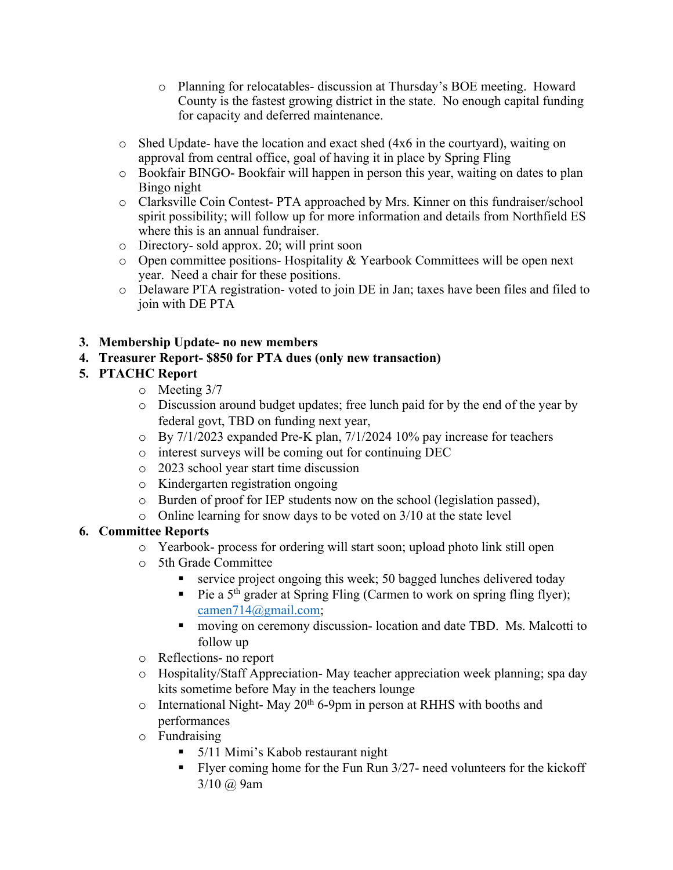- o Planning for relocatables- discussion at Thursday's BOE meeting. Howard County is the fastest growing district in the state. No enough capital funding for capacity and deferred maintenance.
- $\circ$  Shed Update- have the location and exact shed (4x6 in the courtyard), waiting on approval from central office, goal of having it in place by Spring Fling
- o Bookfair BINGO- Bookfair will happen in person this year, waiting on dates to plan Bingo night
- o Clarksville Coin Contest- PTA approached by Mrs. Kinner on this fundraiser/school spirit possibility; will follow up for more information and details from Northfield ES where this is an annual fundraiser.
- o Directory- sold approx. 20; will print soon
- o Open committee positions- Hospitality & Yearbook Committees will be open next year. Need a chair for these positions.
- o Delaware PTA registration- voted to join DE in Jan; taxes have been files and filed to join with DE PTA

## **3. Membership Update- no new members**

## **4. Treasurer Report- \$850 for PTA dues (only new transaction)**

## **5. PTACHC Report**

- o Meeting 3/7
- o Discussion around budget updates; free lunch paid for by the end of the year by federal govt, TBD on funding next year,
- o By 7/1/2023 expanded Pre-K plan, 7/1/2024 10% pay increase for teachers
- o interest surveys will be coming out for continuing DEC
- o 2023 school year start time discussion
- o Kindergarten registration ongoing
- o Burden of proof for IEP students now on the school (legislation passed),
- o Online learning for snow days to be voted on 3/10 at the state level

## **6. Committee Reports**

- o Yearbook- process for ordering will start soon; upload photo link still open
- o 5th Grade Committee
	- service project ongoing this week; 50 bagged lunches delivered today
	- Pie a 5<sup>th</sup> grader at Spring Fling (Carmen to work on spring fling flyer); camen714@gmail.com;
	- moving on ceremony discussion- location and date TBD. Ms. Malcotti to follow up
- o Reflections- no report
- o Hospitality/Staff Appreciation- May teacher appreciation week planning; spa day kits sometime before May in the teachers lounge
- $\circ$  International Night-May 20<sup>th</sup> 6-9pm in person at RHHS with booths and performances
- o Fundraising
	- § 5/11 Mimi's Kabob restaurant night
	- Flyer coming home for the Fun Run 3/27- need volunteers for the kickoff  $3/10$   $\omega$  9am